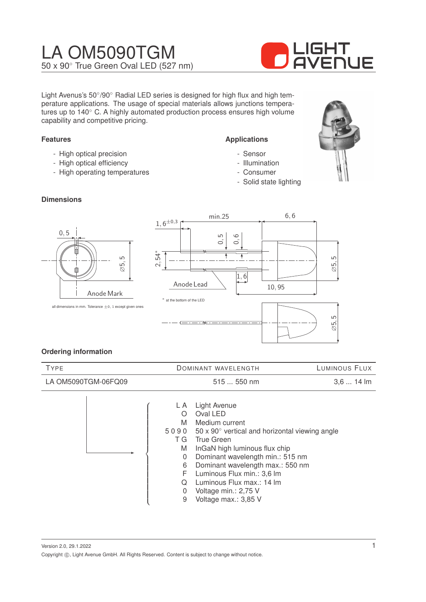# LA OM5090TGM 50 x 90◦ True Green Oval LED (527 nm)



Light Avenus's 50°/90° Radial LED series is designed for high flux and high temperature applications. The usage of special materials allows junctions temperatures up to 140◦ C. A highly automated production process ensures high volume capability and competitive pricing.

#### **Features**

- High optical precision
- High optical efficiency
- High operating temperatures

### **Applications**

- Sensor
- Illumination
- Consumer
- Solid state lighting



∅5, 5

∅5, 5

#### 6, 6 min.25  $1,6^{\pm0,3}$ 0, 5 0, 5 0, 6 −<br>2, 54<br>2, 7 ∅5, 5 1, 6 Anode Lead 10, 95 Anode Mark ∗ at the bottom of the LED all dimensions in mm. Tolerance  $\pm 0$ , 1 except given ones  $\overline{a}$

### **Ordering information**

| <b>TYPE</b>         | DOMINANT WAVELENGTH                                                                                                                                                                                                                                                                                                                                                                                                         | LUMINOUS FLUX |
|---------------------|-----------------------------------------------------------------------------------------------------------------------------------------------------------------------------------------------------------------------------------------------------------------------------------------------------------------------------------------------------------------------------------------------------------------------------|---------------|
| LA OM5090TGM-06FQ09 | 515  550 nm                                                                                                                                                                                                                                                                                                                                                                                                                 | $3,614$ lm    |
|                     | Light Avenue<br>L A<br>Oval LED<br>O<br>M<br>Medium current<br>5090<br>$50 \times 90^\circ$ vertical and horizontal viewing angle<br><b>True Green</b><br>T G<br>InGaN high luminous flux chip<br>M<br>Dominant wavelength min.: 515 nm<br>0<br>Dominant wavelength max.: 550 nm<br>6<br>F<br>Luminous Flux min.: 3,6 lm<br>Luminous Flux max.: 14 Im<br>O<br>Voltage min.: 2,75 V<br>$\Omega$<br>Voltage max.: 3,85 V<br>9 |               |

Version 2.0, 29.1.2022 Copyright ©, Light Avenue GmbH. All Rights Reserved. Content is subject to change without notice.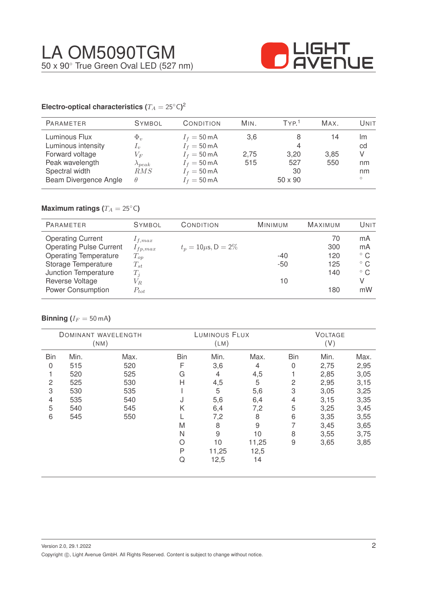

#### **Electro-optical characteristics (T\_A = 25^{\circ} \text{C}</math>)<sup>2</sup>**

| PARAMETER                                                                     | <b>SYMBOL</b>                                  | CONDITION                                                                                        | MIN.        | TYP <sup>1</sup>             | MAX.        | Unit                     |
|-------------------------------------------------------------------------------|------------------------------------------------|--------------------------------------------------------------------------------------------------|-------------|------------------------------|-------------|--------------------------|
| Luminous Flux<br>Luminous intensity                                           | $\Phi_v$<br>$I_{\eta}$                         | $I_f = 50 \text{ mA}$<br>$I_f = 50 \text{ mA}$                                                   | 3.6         |                              | 14          | Im<br>cd                 |
| Forward voltage<br>Peak wavelength<br>Spectral width<br>Beam Divergence Angle | $V_{F}$<br>$\lambda_{peak}$<br>RMS<br>$\theta$ | $I_f = 50 \text{ mA}$<br>$I_f = 50 \text{ mA}$<br>$I_f = 50 \text{ mA}$<br>$I_f = 50 \text{ mA}$ | 2,75<br>515 | 3,20<br>527<br>30<br>50 x 90 | 3.85<br>550 | V<br>nm<br>nm<br>$\circ$ |

## **Maximum ratings (** $T_A = 25$ °C)

| <b>PARAMETER</b>               | <b>SYMBOL</b> | CONDITION                 | <b>MINIMUM</b> | <b>MAXIMUM</b> | UNIT         |
|--------------------------------|---------------|---------------------------|----------------|----------------|--------------|
| <b>Operating Current</b>       | $1_{f,max}$   |                           |                | 70             | mA           |
| <b>Operating Pulse Current</b> | $I_{fp,max}$  | $t_p = 10 \mu s, D = 2\%$ |                | 300            | mA           |
| <b>Operating Temperature</b>   | $T_{op}$      |                           | $-40$          | 120            | $^{\circ}$ C |
| Storage Temperature            | $T_{st}$      |                           | $-50$          | 125            | $^{\circ}$ C |
| Junction Temperature           | $T_i$         |                           |                | 140            | $^{\circ}$ C |
| Reverse Voltage                | $V_{R.}$      |                           | 10             |                | V            |
| <b>Power Consumption</b>       | $P_{tot}$     |                           |                | 180            | mW           |

#### **Binning** ( $I_F = 50$  mA)

| DOMINANT WAVELENGTH<br>(MM) |      | LUMINOUS FLUX<br>(LM) |            |                | <b>VOLTAGE</b><br>(V) |            |      |      |
|-----------------------------|------|-----------------------|------------|----------------|-----------------------|------------|------|------|
| Bin                         | Min. | Max.                  | <b>Bin</b> | Min.           | Max.                  | <b>Bin</b> | Min. | Max. |
| 0                           | 515  | 520                   | F          | 3,6            | 4                     | 0          | 2,75 | 2,95 |
|                             | 520  | 525                   | G          | 4              | 4,5                   |            | 2,85 | 3,05 |
| 2                           | 525  | 530                   | Н          | 4,5            | 5                     | 2          | 2,95 | 3,15 |
| 3                           | 530  | 535                   |            | 5              | 5,6                   | 3          | 3,05 | 3,25 |
| 4                           | 535  | 540                   | J          | 5,6            | 6,4                   | 4          | 3,15 | 3,35 |
| 5                           | 540  | 545                   | Κ          | 6,4            | 7,2                   | 5          | 3,25 | 3,45 |
| 6                           | 545  | 550                   |            | 7,2            | 8                     | 6          | 3,35 | 3,55 |
|                             |      |                       | M          | 8              | 9                     | 7          | 3,45 | 3,65 |
|                             |      |                       | N          | $\overline{9}$ | 10                    | 8          | 3,55 | 3,75 |
|                             |      |                       | Ο          | 10             | 11,25                 | 9          | 3,65 | 3,85 |
|                             |      |                       | P          | 11,25          | 12,5                  |            |      |      |
|                             |      |                       | Q          | 12,5           | 14                    |            |      |      |
|                             |      |                       |            |                |                       |            |      |      |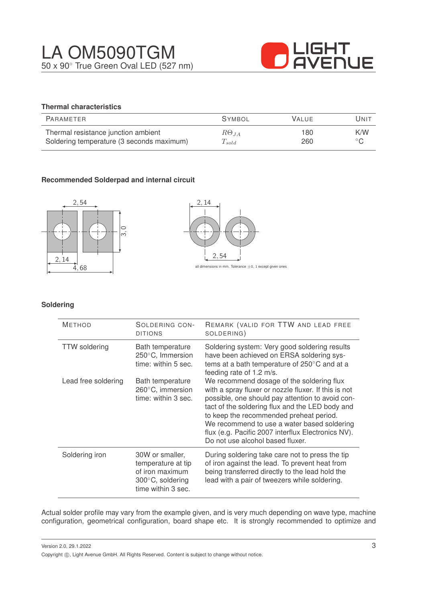

### **Thermal characteristics**

| PARAMETER                                 | <b>SYMBOL</b>  | <b>VALUE</b> | Unit           |
|-------------------------------------------|----------------|--------------|----------------|
| Thermal resistance junction ambient       | $R\Theta_{JA}$ | 180          | K/W            |
| Soldering temperature (3 seconds maximum) | $T_{solid}$    | 260          | $\circ$ $\cap$ |

#### **Recommended Solderpad and internal circuit**





#### **Soldering**

| <b>METHOD</b>        | SOLDERING CON-<br><b>DITIONS</b>                                                                   | REMARK (VALID FOR TTW AND LEAD FREE<br>SOLDERING)                                                                                                                                                                                                                                                                                                                                            |
|----------------------|----------------------------------------------------------------------------------------------------|----------------------------------------------------------------------------------------------------------------------------------------------------------------------------------------------------------------------------------------------------------------------------------------------------------------------------------------------------------------------------------------------|
| <b>TTW</b> soldering | Bath temperature<br>250°C, Immersion<br>time: within 5 sec.                                        | Soldering system: Very good soldering results<br>have been achieved on ERSA soldering sys-<br>tems at a bath temperature of 250°C and at a<br>feeding rate of 1.2 m/s.                                                                                                                                                                                                                       |
| Lead free soldering  | Bath temperature<br>260°C, immersion<br>time: within 3 sec.                                        | We recommend dosage of the soldering flux<br>with a spray fluxer or nozzle fluxer. If this is not<br>possible, one should pay attention to avoid con-<br>tact of the soldering flux and the LED body and<br>to keep the recommended preheat period.<br>We recommend to use a water based soldering<br>flux (e.g. Pacific 2007 interflux Electronics NV).<br>Do not use alcohol based fluxer. |
| Soldering iron       | 30W or smaller,<br>temperature at tip<br>of iron maximum<br>300°C, soldering<br>time within 3 sec. | During soldering take care not to press the tip<br>of iron against the lead. To prevent heat from<br>being transferred directly to the lead hold the<br>lead with a pair of tweezers while soldering.                                                                                                                                                                                        |

Actual solder profile may vary from the example given, and is very much depending on wave type, machine configuration, geometrical configuration, board shape etc. It is strongly recommended to optimize and

Version 2.0, 29.1.2022 Copyright  $\circled{c}$ , Light Avenue GmbH. All Rights Reserved. Content is subject to change without notice.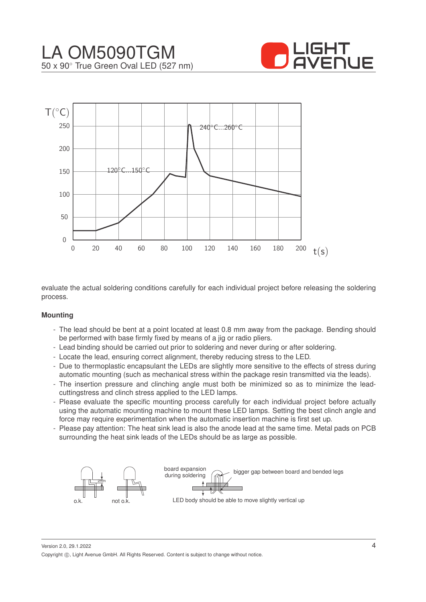



evaluate the actual soldering conditions carefully for each individual project before releasing the soldering process.

#### **Mounting**

- The lead should be bent at a point located at least 0.8 mm away from the package. Bending should be performed with base firmly fixed by means of a jig or radio pliers.
- Lead binding should be carried out prior to soldering and never during or after soldering.
- Locate the lead, ensuring correct alignment, thereby reducing stress to the LED.
- Due to thermoplastic encapsulant the LEDs are slightly more sensitive to the effects of stress during automatic mounting (such as mechanical stress within the package resin transmitted via the leads).
- The insertion pressure and clinching angle must both be minimized so as to minimize the leadcuttingstress and clinch stress applied to the LED lamps.
- Please evaluate the specific mounting process carefully for each individual project before actually using the automatic mounting machine to mount these LED lamps. Setting the best clinch angle and force may require experimentation when the automatic insertion machine is first set up.
- Please pay attention: The heat sink lead is also the anode lead at the same time. Metal pads on PCB surrounding the heat sink leads of the LEDs should be as large as possible.



Version 2.0, 29.1.2022 Copyright ©, Light Avenue GmbH. All Rights Reserved. Content is subject to change without notice.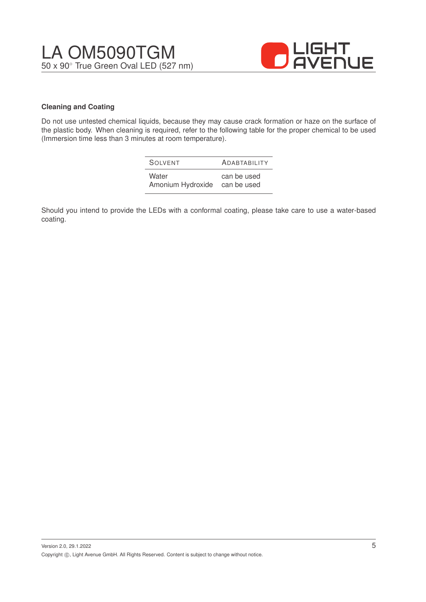

#### **Cleaning and Coating**

Do not use untested chemical liquids, because they may cause crack formation or haze on the surface of the plastic body. When cleaning is required, refer to the following table for the proper chemical to be used (Immersion time less than 3 minutes at room temperature).

| <b>SOLVENT</b>    | <b>ADABTABILITY</b> |
|-------------------|---------------------|
| Water             | can be used         |
| Amonium Hydroxide | can be used         |

Should you intend to provide the LEDs with a conformal coating, please take care to use a water-based coating.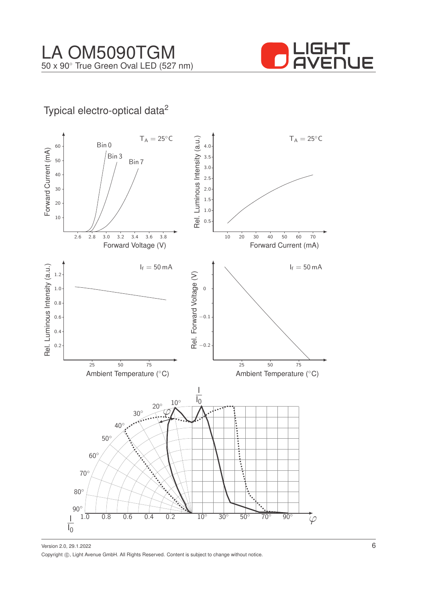

# Typical electro-optical data<sup>2</sup>



Version 2.0, 29.1.2022 Copyright ©, Light Avenue GmbH. All Rights Reserved. Content is subject to change without notice.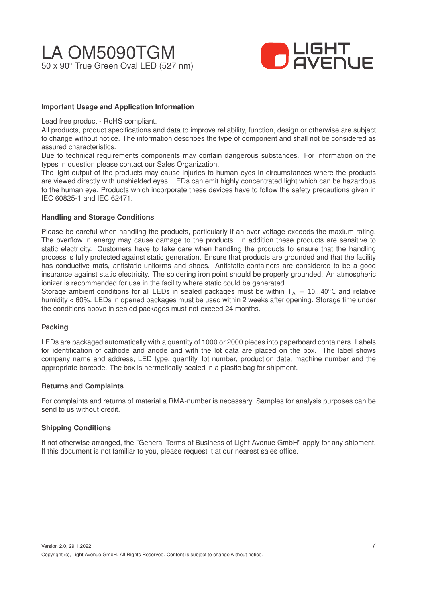

#### **Important Usage and Application Information**

Lead free product - RoHS compliant.

All products, product specifications and data to improve reliability, function, design or otherwise are subject to change without notice. The information describes the type of component and shall not be considered as assured characteristics.

Due to technical requirements components may contain dangerous substances. For information on the types in question please contact our Sales Organization.

The light output of the products may cause injuries to human eyes in circumstances where the products are viewed directly with unshielded eyes. LEDs can emit highly concentrated light which can be hazardous to the human eye. Products which incorporate these devices have to follow the safety precautions given in IEC 60825-1 and IEC 62471.

#### **Handling and Storage Conditions**

Please be careful when handling the products, particularly if an over-voltage exceeds the maxium rating. The overflow in energy may cause damage to the products. In addition these products are sensitive to static electricity. Customers have to take care when handling the products to ensure that the handling process is fully protected against static generation. Ensure that products are grounded and that the facility has conductive mats, antistatic uniforms and shoes. Antistatic containers are considered to be a good insurance against static electricity. The soldering iron point should be properly grounded. An atmospheric ionizer is recommended for use in the facility where static could be generated.

Storage ambient conditions for all LEDs in sealed packages must be within  $T_A = 10...40^\circ$ C and relative humidity < 60%. LEDs in opened packages must be used within 2 weeks after opening. Storage time under the conditions above in sealed packages must not exceed 24 months.

#### **Packing**

LEDs are packaged automatically with a quantity of 1000 or 2000 pieces into paperboard containers. Labels for identification of cathode and anode and with the lot data are placed on the box. The label shows company name and address, LED type, quantity, lot number, production date, machine number and the appropriate barcode. The box is hermetically sealed in a plastic bag for shipment.

#### **Returns and Complaints**

For complaints and returns of material a RMA-number is necessary. Samples for analysis purposes can be send to us without credit.

#### **Shipping Conditions**

If not otherwise arranged, the "General Terms of Business of Light Avenue GmbH" apply for any shipment. If this document is not familiar to you, please request it at our nearest sales office.